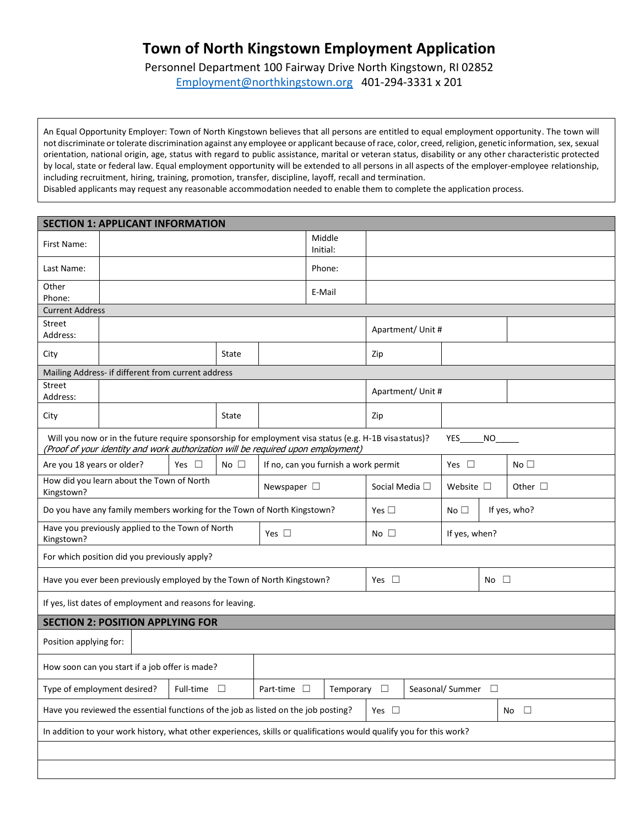## **Town of North Kingstown Employment Application**

Personnel Department 100 Fairway Drive North Kingstown, RI 02852 [Employment@northkingstown.org](mailto:Employment@northkingstown.org) 401-294-3331 x 201

An Equal Opportunity Employer: Town of North Kingstown believes that all persons are entitled to equal employment opportunity. The town will not discriminate ortolerate discrimination against any employee or applicant because of race, color, creed, religion, genetic information, sex, sexual orientation, national origin, age, status with regard to public assistance, marital or veteran status, disability or any other characteristic protected by local, state or federal law. Equal employment opportunity will be extended to all persons in all aspects of the employer-employee relationship, including recruitment, hiring, training, promotion, transfer, discipline, layoff, recall and termination.

Disabled applicants may request any reasonable accommodation needed to enable them to complete the application process.

| <b>SECTION 1: APPLICANT INFORMATION</b>                                                                                                                                                                       |                                                                                                                               |                    |                                      |  |  |                        |                   |                |              |  |
|---------------------------------------------------------------------------------------------------------------------------------------------------------------------------------------------------------------|-------------------------------------------------------------------------------------------------------------------------------|--------------------|--------------------------------------|--|--|------------------------|-------------------|----------------|--------------|--|
| First Name:                                                                                                                                                                                                   |                                                                                                                               | Middle<br>Initial: |                                      |  |  |                        |                   |                |              |  |
| Last Name:                                                                                                                                                                                                    |                                                                                                                               | Phone:             |                                      |  |  |                        |                   |                |              |  |
| Other                                                                                                                                                                                                         |                                                                                                                               | E-Mail             |                                      |  |  |                        |                   |                |              |  |
| Phone:<br><b>Current Address</b>                                                                                                                                                                              |                                                                                                                               |                    |                                      |  |  |                        |                   |                |              |  |
| Street                                                                                                                                                                                                        |                                                                                                                               |                    |                                      |  |  |                        |                   |                |              |  |
| Address:                                                                                                                                                                                                      |                                                                                                                               |                    |                                      |  |  | Apartment/ Unit #      |                   |                |              |  |
| City                                                                                                                                                                                                          | State                                                                                                                         |                    |                                      |  |  | Zip                    |                   |                |              |  |
| Mailing Address- if different from current address                                                                                                                                                            |                                                                                                                               |                    |                                      |  |  |                        |                   |                |              |  |
| Street<br>Address:                                                                                                                                                                                            |                                                                                                                               |                    |                                      |  |  |                        | Apartment/ Unit # |                |              |  |
| City                                                                                                                                                                                                          | State                                                                                                                         |                    |                                      |  |  | Zip                    |                   |                |              |  |
| Will you now or in the future require sponsorship for employment visa status (e.g. H-1B visa status)?<br>YES<br><b>NO</b><br>(Proof of your identity and work authorization will be required upon employment) |                                                                                                                               |                    |                                      |  |  |                        |                   |                |              |  |
| Are you 18 years or older?                                                                                                                                                                                    |                                                                                                                               |                    | If no, can you furnish a work permit |  |  | Yes $\Box$             |                   | No $\square$   |              |  |
| How did you learn about the Town of North<br>Newspaper $\square$<br>Kingstown?                                                                                                                                |                                                                                                                               |                    |                                      |  |  | Social Media $\square$ |                   | Website $\Box$ | Other $\Box$ |  |
| Yes $\square$<br>No $\square$<br>If yes, who?<br>Do you have any family members working for the Town of North Kingstown?                                                                                      |                                                                                                                               |                    |                                      |  |  |                        |                   |                |              |  |
| Have you previously applied to the Town of North<br>Yes $\square$<br>Kingstown?                                                                                                                               |                                                                                                                               |                    |                                      |  |  | No $\square$           |                   | If yes, when?  |              |  |
| For which position did you previously apply?                                                                                                                                                                  |                                                                                                                               |                    |                                      |  |  |                        |                   |                |              |  |
| Have you ever been previously employed by the Town of North Kingstown?                                                                                                                                        |                                                                                                                               |                    |                                      |  |  | Yes $\square$          |                   |                | No $\square$ |  |
| If yes, list dates of employment and reasons for leaving.                                                                                                                                                     |                                                                                                                               |                    |                                      |  |  |                        |                   |                |              |  |
| <b>SECTION 2: POSITION APPLYING FOR</b>                                                                                                                                                                       |                                                                                                                               |                    |                                      |  |  |                        |                   |                |              |  |
| Position applying for:                                                                                                                                                                                        |                                                                                                                               |                    |                                      |  |  |                        |                   |                |              |  |
| How soon can you start if a job offer is made?                                                                                                                                                                |                                                                                                                               |                    |                                      |  |  |                        |                   |                |              |  |
|                                                                                                                                                                                                               | $\Box$<br>Type of employment desired?<br>Full-time $\square$<br>Part-time $\square$<br>Temporary<br>Seasonal/Summer $\square$ |                    |                                      |  |  |                        |                   |                |              |  |
| Have you reviewed the essential functions of the job as listed on the job posting?<br>Yes $\square$<br>No $\square$                                                                                           |                                                                                                                               |                    |                                      |  |  |                        |                   |                |              |  |
| In addition to your work history, what other experiences, skills or qualifications would qualify you for this work?                                                                                           |                                                                                                                               |                    |                                      |  |  |                        |                   |                |              |  |
|                                                                                                                                                                                                               |                                                                                                                               |                    |                                      |  |  |                        |                   |                |              |  |
|                                                                                                                                                                                                               |                                                                                                                               |                    |                                      |  |  |                        |                   |                |              |  |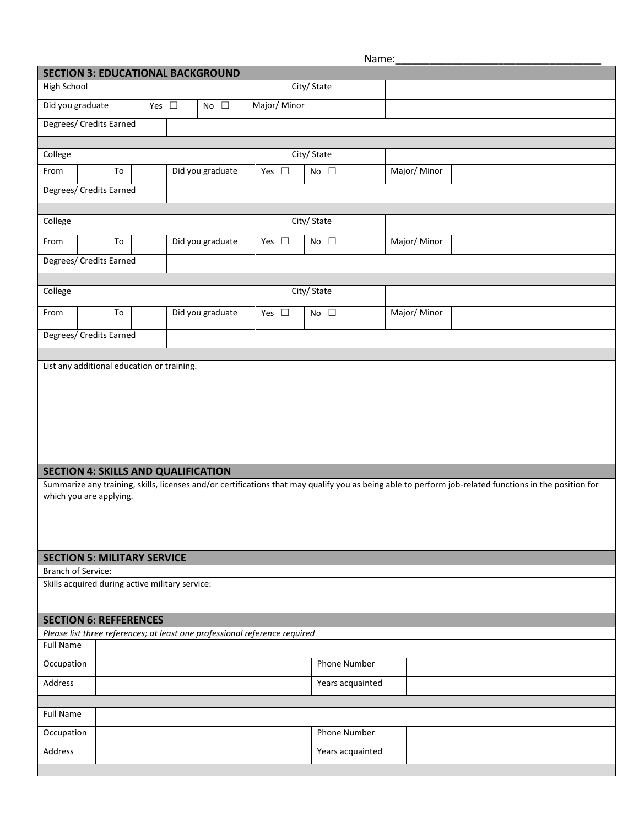Name:

| <b>SECTION 3: EDUCATIONAL BACKGROUND</b>                                                                                                                                          |    |  |  |  |                  |               |  |                  |             |
|-----------------------------------------------------------------------------------------------------------------------------------------------------------------------------------|----|--|--|--|------------------|---------------|--|------------------|-------------|
| City/ State<br>High School                                                                                                                                                        |    |  |  |  |                  |               |  |                  |             |
| Yes $\square$<br>Major/Minor<br>Did you graduate<br>No $\square$                                                                                                                  |    |  |  |  |                  |               |  |                  |             |
| Degrees/ Credits Earned                                                                                                                                                           |    |  |  |  |                  |               |  |                  |             |
|                                                                                                                                                                                   |    |  |  |  |                  |               |  |                  |             |
| College                                                                                                                                                                           |    |  |  |  |                  |               |  | City/ State      |             |
| From                                                                                                                                                                              | To |  |  |  | Did you graduate | Yes $\square$ |  | No $\square$     | Major/Minor |
| Degrees/ Credits Earned                                                                                                                                                           |    |  |  |  |                  |               |  |                  |             |
|                                                                                                                                                                                   |    |  |  |  |                  |               |  |                  |             |
| College                                                                                                                                                                           |    |  |  |  |                  |               |  | City/ State      |             |
| From                                                                                                                                                                              | To |  |  |  | Did you graduate | Yes $\square$ |  | No $\square$     | Major/Minor |
| Degrees/ Credits Earned                                                                                                                                                           |    |  |  |  |                  |               |  |                  |             |
|                                                                                                                                                                                   |    |  |  |  |                  |               |  |                  |             |
| College                                                                                                                                                                           |    |  |  |  |                  |               |  | City/ State      |             |
| From                                                                                                                                                                              | To |  |  |  | Did you graduate | Yes $\square$ |  | No $\square$     | Major/Minor |
| Degrees/ Credits Earned                                                                                                                                                           |    |  |  |  |                  |               |  |                  |             |
|                                                                                                                                                                                   |    |  |  |  |                  |               |  |                  |             |
|                                                                                                                                                                                   |    |  |  |  |                  |               |  |                  |             |
| <b>SECTION 4: SKILLS AND QUALIFICATION</b>                                                                                                                                        |    |  |  |  |                  |               |  |                  |             |
| Summarize any training, skills, licenses and/or certifications that may qualify you as being able to perform job-related functions in the position for<br>which you are applying. |    |  |  |  |                  |               |  |                  |             |
| <b>SECTION 5: MILITARY SERVICE</b>                                                                                                                                                |    |  |  |  |                  |               |  |                  |             |
| <b>Branch of Service:</b>                                                                                                                                                         |    |  |  |  |                  |               |  |                  |             |
| Skills acquired during active military service:                                                                                                                                   |    |  |  |  |                  |               |  |                  |             |
| <b>SECTION 6: REFFERENCES</b>                                                                                                                                                     |    |  |  |  |                  |               |  |                  |             |
| Please list three references; at least one professional reference required                                                                                                        |    |  |  |  |                  |               |  |                  |             |
| <b>Full Name</b>                                                                                                                                                                  |    |  |  |  |                  |               |  |                  |             |
| Occupation                                                                                                                                                                        |    |  |  |  |                  |               |  | Phone Number     |             |
| Address                                                                                                                                                                           |    |  |  |  |                  |               |  | Years acquainted |             |
|                                                                                                                                                                                   |    |  |  |  |                  |               |  |                  |             |
| <b>Full Name</b>                                                                                                                                                                  |    |  |  |  |                  |               |  |                  |             |
| Occupation                                                                                                                                                                        |    |  |  |  |                  |               |  | Phone Number     |             |
| Address                                                                                                                                                                           |    |  |  |  |                  |               |  | Years acquainted |             |
|                                                                                                                                                                                   |    |  |  |  |                  |               |  |                  |             |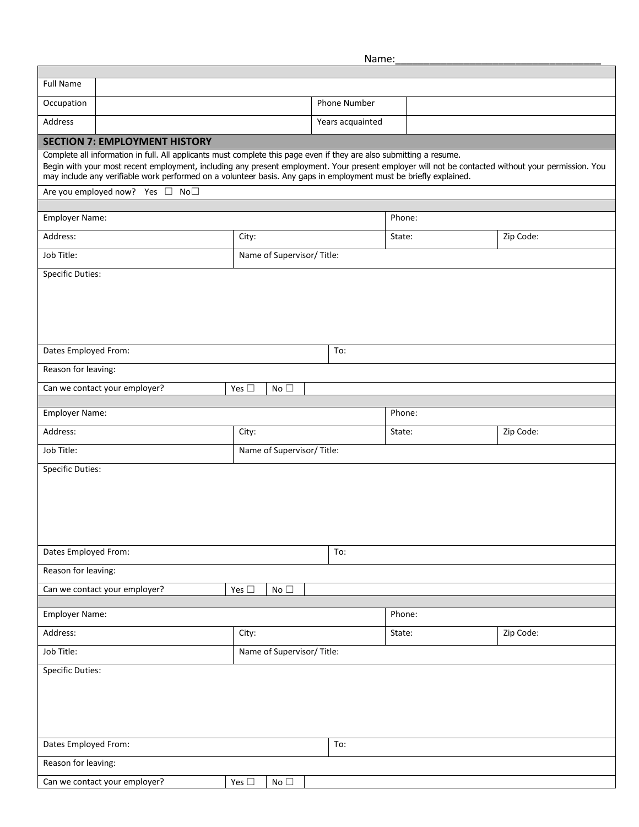Name:

| <b>Full Name</b>                                                                                                                                                                                                                                                        |                            |                  |                     |           |  |  |  |  |  |
|-------------------------------------------------------------------------------------------------------------------------------------------------------------------------------------------------------------------------------------------------------------------------|----------------------------|------------------|---------------------|-----------|--|--|--|--|--|
| Occupation                                                                                                                                                                                                                                                              |                            | Phone Number     |                     |           |  |  |  |  |  |
| Address                                                                                                                                                                                                                                                                 |                            | Years acquainted |                     |           |  |  |  |  |  |
| <b>SECTION 7: EMPLOYMENT HISTORY</b>                                                                                                                                                                                                                                    |                            |                  |                     |           |  |  |  |  |  |
| Complete all information in full. All applicants must complete this page even if they are also submitting a resume.                                                                                                                                                     |                            |                  |                     |           |  |  |  |  |  |
| Begin with your most recent employment, including any present employment. Your present employer will not be contacted without your permission. You<br>may include any verifiable work performed on a volunteer basis. Any gaps in employment must be briefly explained. |                            |                  |                     |           |  |  |  |  |  |
| Are you employed now? Yes □ No□                                                                                                                                                                                                                                         |                            |                  |                     |           |  |  |  |  |  |
| Employer Name:                                                                                                                                                                                                                                                          |                            |                  | Phone:              |           |  |  |  |  |  |
| Address:                                                                                                                                                                                                                                                                | City:                      |                  | Zip Code:<br>State: |           |  |  |  |  |  |
| Job Title:                                                                                                                                                                                                                                                              | Name of Supervisor/ Title: |                  |                     |           |  |  |  |  |  |
| <b>Specific Duties:</b>                                                                                                                                                                                                                                                 |                            |                  |                     |           |  |  |  |  |  |
|                                                                                                                                                                                                                                                                         |                            |                  |                     |           |  |  |  |  |  |
|                                                                                                                                                                                                                                                                         |                            |                  |                     |           |  |  |  |  |  |
|                                                                                                                                                                                                                                                                         |                            |                  |                     |           |  |  |  |  |  |
| Dates Employed From:                                                                                                                                                                                                                                                    |                            | To:              |                     |           |  |  |  |  |  |
| Reason for leaving:                                                                                                                                                                                                                                                     |                            |                  |                     |           |  |  |  |  |  |
| Can we contact your employer?<br>Yes $\square$<br>No $\square$                                                                                                                                                                                                          |                            |                  |                     |           |  |  |  |  |  |
|                                                                                                                                                                                                                                                                         |                            |                  |                     |           |  |  |  |  |  |
| Employer Name:                                                                                                                                                                                                                                                          |                            |                  | Phone:              |           |  |  |  |  |  |
| Address:                                                                                                                                                                                                                                                                | City:                      |                  | State:              | Zip Code: |  |  |  |  |  |
| Job Title:                                                                                                                                                                                                                                                              | Name of Supervisor/ Title: |                  |                     |           |  |  |  |  |  |
| <b>Specific Duties:</b>                                                                                                                                                                                                                                                 |                            |                  |                     |           |  |  |  |  |  |
|                                                                                                                                                                                                                                                                         |                            |                  |                     |           |  |  |  |  |  |
|                                                                                                                                                                                                                                                                         |                            |                  |                     |           |  |  |  |  |  |
|                                                                                                                                                                                                                                                                         |                            |                  |                     |           |  |  |  |  |  |
|                                                                                                                                                                                                                                                                         |                            |                  |                     |           |  |  |  |  |  |
| Dates Employed From:                                                                                                                                                                                                                                                    |                            | To:              |                     |           |  |  |  |  |  |
| Reason for leaving:                                                                                                                                                                                                                                                     |                            |                  |                     |           |  |  |  |  |  |
| Can we contact your employer?<br>Yes $\square$<br>No $\square$                                                                                                                                                                                                          |                            |                  |                     |           |  |  |  |  |  |
| Employer Name:                                                                                                                                                                                                                                                          |                            | Phone:           |                     |           |  |  |  |  |  |
| Address:                                                                                                                                                                                                                                                                | City:                      |                  | Zip Code:<br>State: |           |  |  |  |  |  |
| Job Title:                                                                                                                                                                                                                                                              | Name of Supervisor/ Title: |                  |                     |           |  |  |  |  |  |
| <b>Specific Duties:</b>                                                                                                                                                                                                                                                 |                            |                  |                     |           |  |  |  |  |  |
|                                                                                                                                                                                                                                                                         |                            |                  |                     |           |  |  |  |  |  |
|                                                                                                                                                                                                                                                                         |                            |                  |                     |           |  |  |  |  |  |
|                                                                                                                                                                                                                                                                         |                            |                  |                     |           |  |  |  |  |  |
| Dates Employed From:                                                                                                                                                                                                                                                    |                            | To:              |                     |           |  |  |  |  |  |
| Reason for leaving:                                                                                                                                                                                                                                                     |                            |                  |                     |           |  |  |  |  |  |
| Can we contact your employer?                                                                                                                                                                                                                                           | Yes $\square$<br>No $\Box$ |                  |                     |           |  |  |  |  |  |